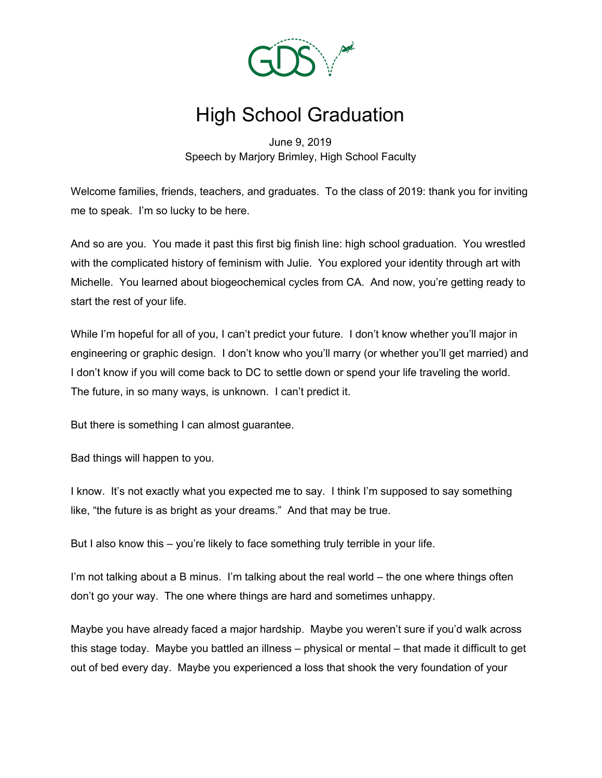

## High School Graduation

June 9, 2019 Speech by Marjory Brimley, High School Faculty

Welcome families, friends, teachers, and graduates. To the class of 2019: thank you for inviting me to speak. I'm so lucky to be here.

And so are you. You made it past this first big finish line: high school graduation. You wrestled with the complicated history of feminism with Julie. You explored your identity through art with Michelle. You learned about biogeochemical cycles from CA. And now, you're getting ready to start the rest of your life.

While I'm hopeful for all of you, I can't predict your future. I don't know whether you'll major in engineering or graphic design. I don't know who you'll marry (or whether you'll get married) and I don't know if you will come back to DC to settle down or spend your life traveling the world. The future, in so many ways, is unknown. I can't predict it.

But there is something I can almost guarantee.

Bad things will happen to you.

I know. It's not exactly what you expected me to say. I think I'm supposed to say something like, "the future is as bright as your dreams." And that may be true.

But I also know this – you're likely to face something truly terrible in your life.

I'm not talking about a B minus. I'm talking about the real world – the one where things often don't go your way. The one where things are hard and sometimes unhappy.

Maybe you have already faced a major hardship. Maybe you weren't sure if you'd walk across this stage today. Maybe you battled an illness – physical or mental – that made it difficult to get out of bed every day. Maybe you experienced a loss that shook the very foundation of your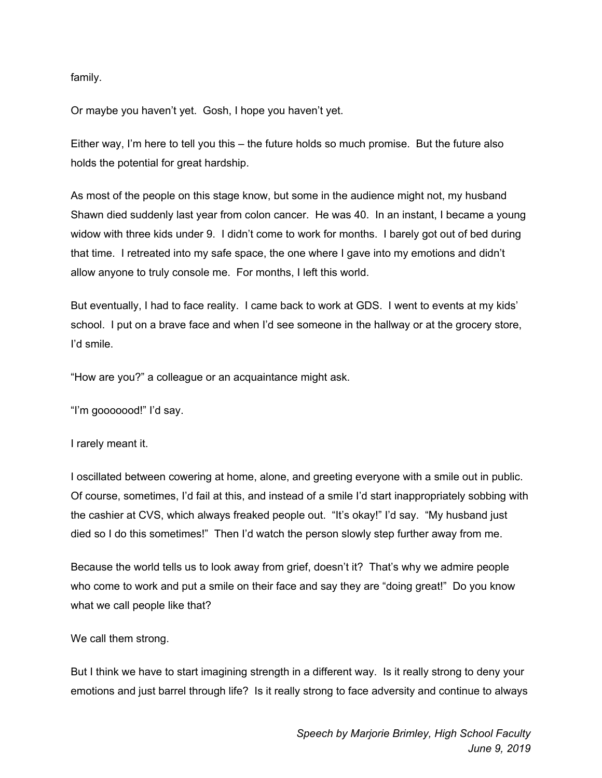family.

Or maybe you haven't yet. Gosh, I hope you haven't yet.

Either way, I'm here to tell you this – the future holds so much promise. But the future also holds the potential for great hardship.

As most of the people on this stage know, but some in the audience might not, my husband Shawn died suddenly last year from colon cancer. He was 40. In an instant, I became a young widow with three kids under 9. I didn't come to work for months. I barely got out of bed during that time. I retreated into my safe space, the one where I gave into my emotions and didn't allow anyone to truly console me. For months, I left this world.

But eventually, I had to face reality. I came back to work at GDS. I went to events at my kids' school. I put on a brave face and when I'd see someone in the hallway or at the grocery store, I'd smile.

"How are you?" a colleague or an acquaintance might ask.

"I'm gooooood!" I'd say.

I rarely meant it.

I oscillated between cowering at home, alone, and greeting everyone with a smile out in public. Of course, sometimes, I'd fail at this, and instead of a smile I'd start inappropriately sobbing with the cashier at CVS, which always freaked people out. "It's okay!" I'd say. "My husband just died so I do this sometimes!" Then I'd watch the person slowly step further away from me.

Because the world tells us to look away from grief, doesn't it? That's why we admire people who come to work and put a smile on their face and say they are "doing great!" Do you know what we call people like that?

We call them strong.

But I think we have to start imagining strength in a different way. Is it really strong to deny your emotions and just barrel through life? Is it really strong to face adversity and continue to always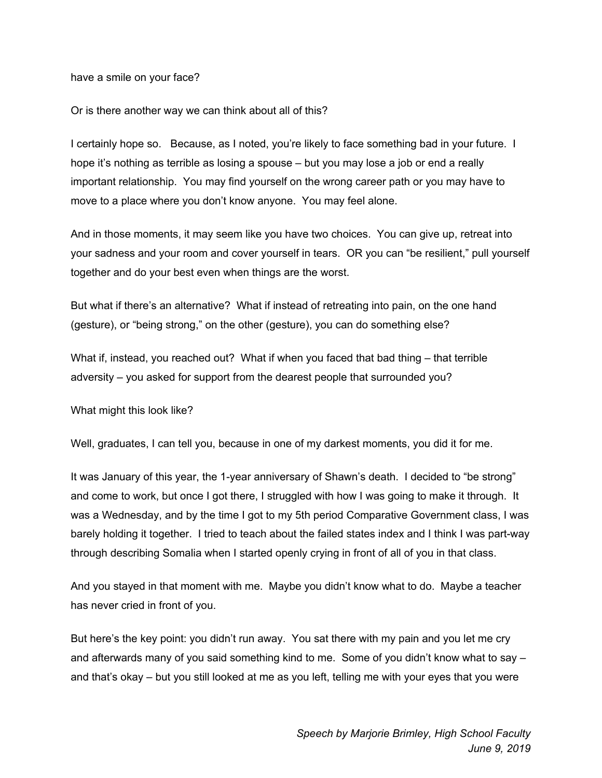have a smile on your face?

Or is there another way we can think about all of this?

I certainly hope so. Because, as I noted, you're likely to face something bad in your future. I hope it's nothing as terrible as losing a spouse – but you may lose a job or end a really important relationship. You may find yourself on the wrong career path or you may have to move to a place where you don't know anyone. You may feel alone.

And in those moments, it may seem like you have two choices. You can give up, retreat into your sadness and your room and cover yourself in tears. OR you can "be resilient," pull yourself together and do your best even when things are the worst.

But what if there's an alternative? What if instead of retreating into pain, on the one hand (gesture), or "being strong," on the other (gesture), you can do something else?

What if, instead, you reached out? What if when you faced that bad thing - that terrible adversity – you asked for support from the dearest people that surrounded you?

What might this look like?

Well, graduates, I can tell you, because in one of my darkest moments, you did it for me.

It was January of this year, the 1-year anniversary of Shawn's death. I decided to "be strong" and come to work, but once I got there, I struggled with how I was going to make it through. It was a Wednesday, and by the time I got to my 5th period Comparative Government class, I was barely holding it together. I tried to teach about the failed states index and I think I was part-way through describing Somalia when I started openly crying in front of all of you in that class.

And you stayed in that moment with me. Maybe you didn't know what to do. Maybe a teacher has never cried in front of you.

But here's the key point: you didn't run away. You sat there with my pain and you let me cry and afterwards many of you said something kind to me. Some of you didn't know what to say – and that's okay – but you still looked at me as you left, telling me with your eyes that you were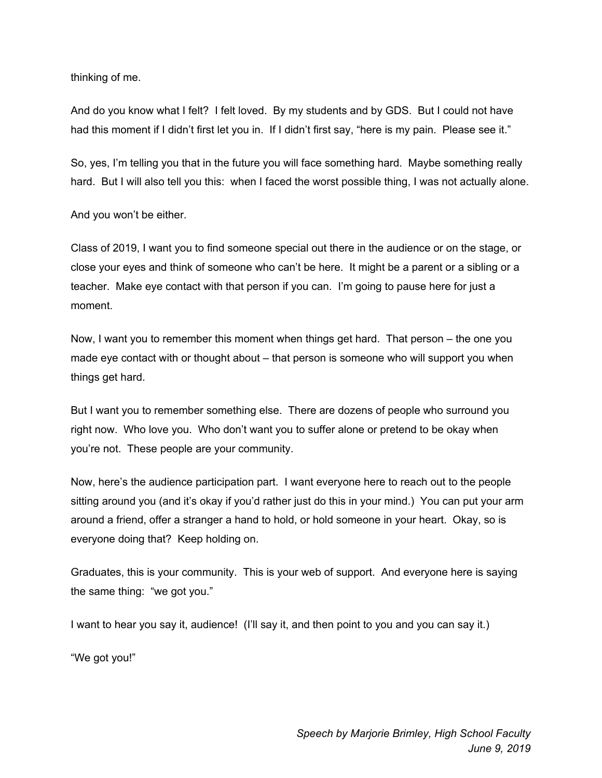thinking of me.

And do you know what I felt? I felt loved. By my students and by GDS. But I could not have had this moment if I didn't first let you in. If I didn't first say, "here is my pain. Please see it."

So, yes, I'm telling you that in the future you will face something hard. Maybe something really hard. But I will also tell you this: when I faced the worst possible thing, I was not actually alone.

And you won't be either.

Class of 2019, I want you to find someone special out there in the audience or on the stage, or close your eyes and think of someone who can't be here. It might be a parent or a sibling or a teacher. Make eye contact with that person if you can. I'm going to pause here for just a moment.

Now, I want you to remember this moment when things get hard. That person – the one you made eye contact with or thought about – that person is someone who will support you when things get hard.

But I want you to remember something else. There are dozens of people who surround you right now. Who love you. Who don't want you to suffer alone or pretend to be okay when you're not. These people are your community.

Now, here's the audience participation part. I want everyone here to reach out to the people sitting around you (and it's okay if you'd rather just do this in your mind.) You can put your arm around a friend, offer a stranger a hand to hold, or hold someone in your heart. Okay, so is everyone doing that? Keep holding on.

Graduates, this is your community. This is your web of support. And everyone here is saying the same thing: "we got you."

I want to hear you say it, audience! (I'll say it, and then point to you and you can say it.)

"We got you!"